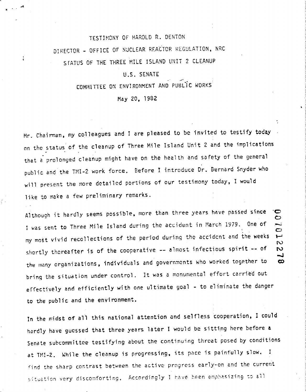# TESTIMONY OF HAROLD R. DENTON DIREC10R - OFFICE OF NJCLEAR REACTOR REGULATION, NRC SrATUS OF THE THREE MILE ISLAND UNIT 2 CLEANUP

÷

## U.S. SENATE

#### ." COMMITTEE ON ENVIRONMENT AND PUBLIC WORKS

May 20, 1982

Mr. Chairman. my colleagues and I are pleased to be invited to testify today on the status of the cleanup of Three Mile Island Unit 2 and the implications that a prolonged cleanup might have on the health and safety of the general public and the TMI-2 work force. Before I introduce Dr. Bernard Snyder who will present the more detailed portions of our testimony today, I would like to make a few preliminary remarks.

Although it hardly seems possible, more than three years have passed since  $\infty$ ن<br>ما I was sent to Three Mile Island during the accident in March 1979. One of  $\overrightarrow{C}$ my most vivid recollections of the period during the accident and the weeks نسيها  $\overline{\mathcal{D}}$ shortly thereafter is of the cooperative -- almost infectious spirit -- of N the many organizations, individuals and governments who worked together to bring the situation under control. It was a monumental effort carried out effectively and efficiently with one ultimate goal - to eliminate the danger to the public and the environment.

الد ထ

In the midst of all this national attention and selfless cooperation, I could hardly have guessed that three years later I would be sitting here before a Senate subcommittee testifying about the continuing threat posed by conditions at TMI-2. While the cleanup is progressing, its pace is painfully slow. I find the sharp contrast between the active progress early-on and the current situation very discomforting. Accordingly I have heen emphasizing to all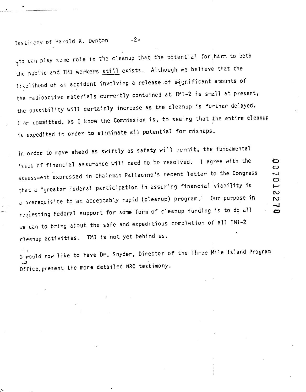Testimony of Harold R. Denton -2-

-- .\_---\_.- .\_---\_..\_--\_.-

 $w$ ho can play some role in the cleanup that the potential for harm to both I the public and TMl workers still exists. Although we believe that the likelihood of an accident involving a release of significant amounts of the radioactive materials currently contained at TMI-2 is smell at present, the pussibility will certainly increase as the cleanup is further delayed. I am committed, as I know the Commission is, to seeing that the entire cleanup is expedited in order to eliminate all potential for mishaps.

In order to move ahead as swiftly as safety will permit, the fundamental issue of "financial assurance will need to be resolved. I agree with the assessment expressed in Chairman Pal1adino's recent letter to the Congress that a "greater Federal participation in assuring financial viability is  $_{\circ}$  prerequisite to an acceptably rapid (cleanup) program." Our purpose in requesting Federal support for some form of cleanup funding is to do all we can to bring about the safe and expeditious completion of all TMI-2 cleanup activities. TMI is not yet behind us.

 $\bullet$  $\bullet$  $\overline{\phantom{0}}$ ඐ لسا N 2

 $\bullet$ 

'... ~.would now like to have Dr. Snyder. Director of the Three Mile Island Program *~.j* Officc,present the more detailed NRC testimony.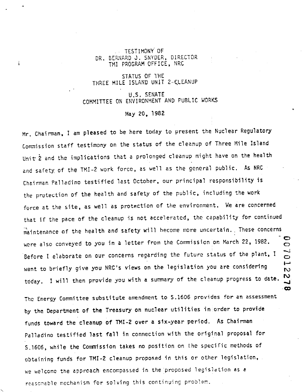### TESTIMONY OF DR. BERNARD J. SNYDER, DIRECTOR THI PROGRAM OFFICE, NRC

i

## STATUS OF THE THREE MILE ISLAND UNIT 2~ELEANUP

U.S, SENATE COMMlTIEE ON ENVIRONMENT AND PUBLIC WORKS

Hay 20. 1982

were also conveyed to you in a letter frorn the Commission on March 22. 1982. Mr. Chairman, I am pleased to be here today to present the Nuclear Regulatory Commission staff testimony on the status of the cleanup of Three Mile Island Unit 2 and the implications that a prolonged cleanup might have on the health and safety of the TMI-2 work force, as we1l as the general public. As NRC Chairman Palladino testified last October, our principal responsibility is the protection of the health and safety of the public, including the work force at the site, as well as protection of the environment. We are concerned that if the pace of the cleanup is not accelerated, the capability for continued maintenance of the health and safety will become more uncertain. These concerns -<br>-<br>כ Before I elaborate on our concerns regarding the future status of the plant. I want to briefly give you NRC's views on the legislation you are considering today. I will then provide you with a summary of the cleanup progress to date,

ဝ<br>၁

 $\overline{\mathbf{t}}$  $\overline{v}$ S

 $\infty$ 

The Energy Committee substitute amendment to 5.1606 provides for an assessment by the Department of the Treasury on nuclear utilities in order to provide funds toward the cleanup of TMI-2 over a six-year period. As Chairman Palladino testified last fall in connection with the original proposal for S.1606, while the Commission takes no position on the specific methods of obtaining funds for TMI-2 cleanup proposed in this or other legislation, \'I'e welcome the cpproach encoliipas~ed in the :proposed 1egisldtion as *e* reasonable mechanism for solving this continuing problem.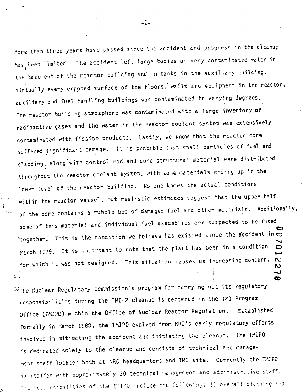More than three years have passed since the accident and progress in the cleanup has, been limited. The accident left large bodies of very contaminated water in the basement of the reactor building and in tanks in the auxiliary building. Virtually every exposed surface of the floors, walls and equipment in the reactor, auxiliary and fuel handling buildings was contaminated to varying degrees. The reactor building atmosphere was contaminated with a large inventory of radioactive gases and the water in the reactor coolant system was extensively contaminated with fission products. Lastly, we know that the reactor core suffered significant damage. It is probable that small particles of fuel and cladding, along with control rod and core structural material were distributed throughout the reactor coolant system, with some materials ending up in the lower level of the reactor building. No one knows the actual conditions within the reactor vessel, but realistic estimates suggest that the upper half of the core contains a rubble bed of damaged fuel and other materials. Additionally, some of this material and individual fuel assemblies are suspected to be fused "together. This is the condition we believe has existed since the accident in  $\overline{\bullet}$ March 1979. It is important to note that the plant has been in a condition  $\mathbf C$ منا for which it was not designed. This situation causes us increasing concern.  $\sim$ S J  $\bullet$ 

Wihe Nuclear Regulatory Commission's program for carrying out its regulatory responsibilities during the TMI-2 cleanup is centered in the TMI Program Office (TMIPO) within the Office of Nuclear Reactor Regulation. Established formally in March 1980, the TMIPD evolved from NRC's early regulatory efforts involved in mitigating the accident and initiating the cleanup. The TMIPO is dedicated solely to the cleanup and consists of technical and management staff located both at NRC headquarters and TMI site. Currently the TMIPO is staffed with approximately 30 technical management and administrative staff. responsibilities of the TMIPO include the following; 1) overall planning and

 $-2-$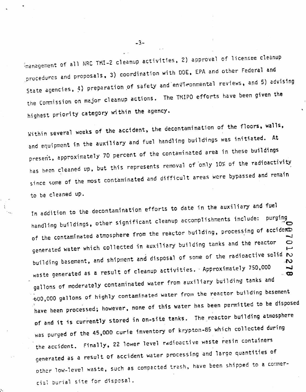imanagement of all NRC TMI-2 cleanup activities, 2) approval of licensee cleanup .procedures and proposals, 3) coordination with DOE, EPA and other Federal and State agencies,  $4$ ) preparation of safety and environmental reviews, and 5) advising the commission on major cleanup actions. The TMIPO efforts have been given the highest priority category within the agency.

and equipment in the auxiliary and fuel handling buildings was initiated. At present. approximately 70 percent of the contaminated area in these buildings has been cleaned up, but this represents removal of only 10% of the radioactivity since some of the most contaminated and difficult areas were bypassed and remain Within several weeks of the accident, the decontamination of the floors, walls, to be cleaned up.

In addition to the decontamination efforts to date in the auxiliary and fuel handling buildings, other significant cleanup accomplishments include: purging of the contaminated atmosphere from the reactor building. processing of accidents generated water which collected in auxiliary building tanks and the reactor  $\mathbb{C}$ building basement, and shipment and disposal of some of the radioactive solid  $\sim$ waste generated as a result of cleanup activities. Approximately 750,000  $\rightarrow$ gallons of moderately contaminated water from auxiliary building tanks and  $-600.000$  gallons of highly contaminated water from the reactor building basement have been processed; however, none of this water has been permitted to be disposed of and it is currently stored in on-site tanks. The reactor building atmosphere was purged of the 45.000 curie inventory of krypton-55 which collected during the accident. Finally, 22 lower level radioactive waste resin containers generated as a result of accident water processing and large quantities of other low-level waste, such as compacted trash, have been shipped to a commercial burial site for disposal.

-3-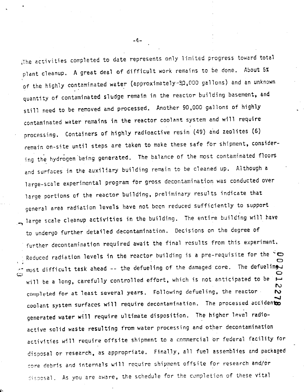iThe activities completed to date represents only limited progress toward total plant cleanup. A great deal of difficult work remains to *be* done. About 5% of the highly contaminated water (approximately 30.000 gallons) and an unknown quantity of contaminated sludge remain in the reactor building basement, and still need to be removed and processed. Another 90,000 gallons of highly contaminated water remains in the reactor coolant system and will require processing. Containers of highly radioactive resin (49) and zeolites (6) remain on-site until steps are taken to make these safe for shipment, considering the hydrogen being generated. The balance of the most contaminated floors and surfaces in the auxiliary building remain to be cleaned up. Although a large-scale experimental program for gross decontamination was conducted over 1arge portions of the reactor building. preliminary results indicate that general area radiation levels have not been reduced sufficiently to support large scale cleanup activities in the building. The entire building will have to undergo further detailed decontamination. Decisions on the degree of further decontamination required await the final results from this experiment. coolant system surfaces will require decontamination completed for at least several years. Following defueling, the reactor. Reduced radiation levels in the reactor building is a pre-requisite for the  $\infty$ :<br>must difficult task ahead -- the defueling of the damaged core. The defueling<br>O will be a long, carefully controlled effort, which is not anticipated to be  $\overline{H}$ tv  $\sim$ ....., The processed accidents ~ generated water will require ultimate disposition. The higher level radioactive solid waste resulting from water processing and other decontamination activities will require offsite shipment to a commercial or federal facility for disposal or research, as appropriate. Final1y, al' fuel assemblies and packaged core debris and internals will require shipment offsite for research and/or disposal. As you are aware, the schedule for the completion of these vital

-4-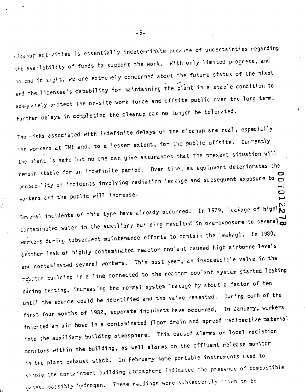cleanup activities is essentially indeterminate because of uncertainties regarding the availability of funds to support the work. With only limited progress, and no end in sight, we are extremely concerned about the future status of the plant and the licensee's capability for maintaining the plant in a stable condition to adequately protect the on-site work force and offsite public over the long term. Further delays in completing the cleanup can no longer be tolerated.

The risks associated with indefinite delays of the cleanup are real, especially for workers at TMI and, to a lesser extent, for the public offsite. Currently the plant is safe but no one can give assurances that the present situation will remain stable for an indefinite period. Over time, as equipment deteriorates the probability of incidents involving radiation leakage and subsequent exposure to  $\bullet$ Ò workers and the public will increase. فسوا

Several incidents of this type have already occurred. In 1979, leakage of highlood contaminated water in the auxiliary building resulted in overexposure to severale workers during subsequent maintenance efforts to contain the leakage. In 1980, another leak of highly contaminated reactor coolant caused high airborne levels and contaminated several workers. This past year, an inaccessible valve in the reactor building in a line connected to the reactor coolant system started leaking during testing, increasing the normal system leakage by about a factor of ten until the source could be identified and the valve reseated. During each of the first four months of 1982, separate incidents have occurred. In January, workers inserted an air hose in a contaminated floor drain and spread radioactive material into the auxiliary building atmosphere. This caused alarms on local radiation monitors within the building, as well alarms on the effluent release monitor in the plant exhaust stack. In February some portable instruments used to sample the containment building atmosphere indicated the presence of combustible gases, possibly hydrogen. These readings were subsequently shown to be

 $-5-$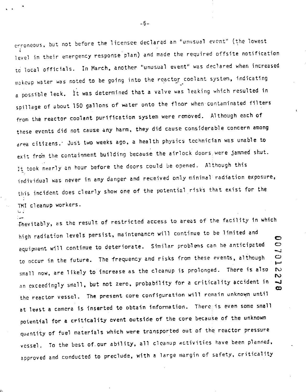erroneous, but not before the licensee declared an "unusual event" (the lowest level in their emergency response plan) and made the required offsite notification to local officials. In March, another "unusual event" was declared when increased makeup water was noted to be going into the reactor coolant system, indicating a possible leak. It was determined that a valve was leaking which resulted in spillage of about 150 gallons of water onto the floor when contaminated filters from the reactor coolant purification system were removed. Although each of these events did not cause any harm, they did cause considerable concern among area citizens. Just two weeks ago, a health physics technician was unable to exit from the containment building because the airlock doors were jammed shut. It took nearly an hour before the doors could be opened. Although this individual was never in any danger and received only minimal radiation exposure, this incident does clearly show one of the potential risks that exist for the TMI cleanup workers.

Thevitably, as the result of restricted access to areas of the facility in which high radiation levels persist, maintenance will continue to be limited and O equipment will continue to deteriorate. Similar problems can be anticipated  $\bullet$ to occur in the future. The frequency and risks from these events, although small now, are likely to increase as the cleanup is prolonged. There is also an exceedingly small, but not zero, probability for a criticality accident in ထ the reactor vessel. The present core configuration will remain unknown until at least a camera is inserted to obtain information. There is even some small potential for a criticality event outside of the core because of the unknown quantity of fuel materials which were transported out of the reactor pressure vessel. To the best of our ability, all cleanup activities have been planned, approved and conducted to preclude, with a large margin of safety, criticality

لب  $\frac{0}{1}$  $\mathbf{v}$ N  $\overline{\phantom{0}}$ 

 $-6-$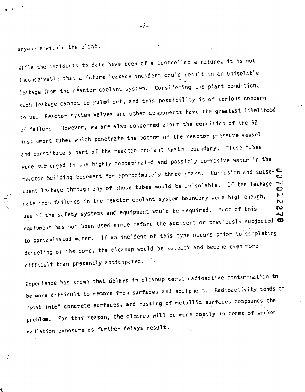anywhere within the plant.

*I* ,

While the incidents to date have been of a controllable nature, it is not inconceivable that a future leakage incident could result in an unisolab1e leakage from the reactor coolant system. Considering the plant condition, such leakage cannot be ruled out, and this possibility is of serious concern to us. Reactor system valves and other components have the greatest likelihood of failure. However, we are also concerned about the condition of the 52 instrument tubes which penetrate the bottom of the reactor pressure vessel and constitute a part of the reactor coolant system boundary. These tubes were submerged in the highly contaminated and possibly corrosive water in the  $r$ eactor building basement for approximately three years. Corrosion and subse- $\mathbf{C}$ quent leakage through any of those tubes would be unisolable. If the leakage  $\leftrightarrow$ rate from failures in the reactor coolant system boundary were high enough,  $\overline{N}$ use of the safety systems and equipment would be required. Much of this 5  $\ddot{\phantom{a}}$ equipment has not been used since before the accident or previously subjected  $\overline{\infty}$ to contaminated water. If an incident of this type occurs prior to'completing defueling of the core, the cleanup would be sctbacx and beccme even more difficult than presently anticipated.

Experience has shown that delays in cleanup cause radioactive contamination to be more difficult to remove from surfaces and equipment. Radioactivity tends to "soak into" concrete surfaces, and rusting of metallic surfaces compounds the problem. For this reason, the cleanup will be more costly in terms of worker radiation exposure as further delays result.

-7-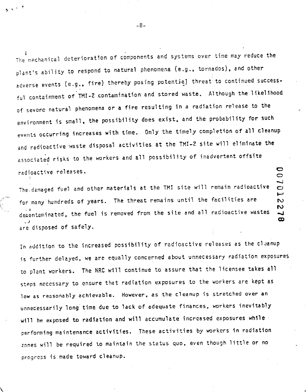The mechanical deterioration of components and systems over time may reduce the plant's ability to respond to natural phenomena (e.g., tornados), and other adverse events (e.g., fire) thereby posing potential threat to continued successful containment of TMI-2 contamination and stored waste. Although the likelihood of severe natural phenomena or a fire resulting in a radiation release to the environment is small, the possibility does exist, and the probability for such events occurring increases with time. Only the timely completion of all cleanup and radioactive waste disposal activities at the TMI-2 site will eliminate the associated risks to the workers and all possibility of inadvertent offsite  $\bullet$ radioactive releases.  $\bullet$ 

The damaged fuel and other materials at the TMI site will remain radioactive for many hundreds of years. The threat remains until the facilities are decontaminated, the fuel is removed from the site and all radioactive wastes are disposed of safely.

 $\mathbf{c}$ 

أسبا

S. S

 $\overline{\phantom{0}}$  $\boldsymbol{\infty}$ 

In addition to the increased possibility of radioactive releases as the cleanup is further delayed, we are equally concerned about unnecessary radiation exposures to plant workers. The NRC will continue to assure that the licensee takes all steps necessary to ensure that radiation exposures to the workers are kept as low as reasonably achievable. However, as the cleanup is stretched over an unnecessarily long time due to lack of adequate finances, workers inevitably will be exposed to radiation and will accumulate increased exposures while performing maintenance activities. These activities by workers in radiation zones will be required to maintain the status quo, even though little or no progress is made toward cleanup.

 $-8-$